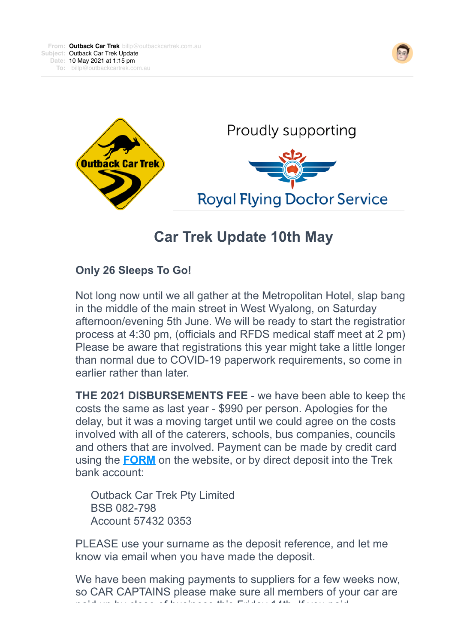



## **Car Trek Update 10th May**

## **Only 26 Sleeps To Go!**

Not long now until we all gather at the Metropolitan Hotel, slap bang in the middle of the main street in West Wyalong, on Saturday afternoon/evening 5th June. We will be ready to start the registration process at 4:30 pm, (officials and RFDS medical staff meet at 2 pm). Please be aware that registrations this year might take a little longer than normal due to COVID-19 paperwork requirements, so come in earlier rather than later.

**THE 2021 DISBURSEMENTS FEE** - we have been able to keep the costs the same as last year - \$990 per person. Apologies for the delay, but it was a moving target until we could agree on the costs involved with all of the caterers, schools, bus companies, councils and others that are involved. Payment can be made by credit card using the **[FORM](https://4ljld.r.a.d.sendibm1.com/mk/cl/f/IF3WWYpOI_j0aG-omkF1URob7ELjDHjXK6asQMAtIUuZoDWA1bcXj6FdAUgX8iKNvb81BTOFikFuc6LBPnBq-CmlQhKMeiq9wmGcbWXrP6CBWp0LzT1KfnoY3bk96rKCxQrh_sC4HwKmzCf3CpWZ-Uj9XttRY_Artk0UMTy3-EZmacQ5sZXnLicyKoRhL3dCPX_qWYXTcaR1PohhwhmieA7Gw2YsxKD7-MgiGwokZrhyOlXfB2i8TUmuGrlnBZxnRHBdFAESkbZw6-S3Hyg)** on the website, or by direct deposit into the Trek bank account:

 Outback Car Trek Pty Limited BSB 082-798 Account 57432 0353

PLEASE use your surname as the deposit reference, and let me know via email when you have made the deposit.

We have been making payments to suppliers for a few weeks now, so CAR CAPTAINS please make sure all members of your car are paid up by close of business this Friday 14th. If you paid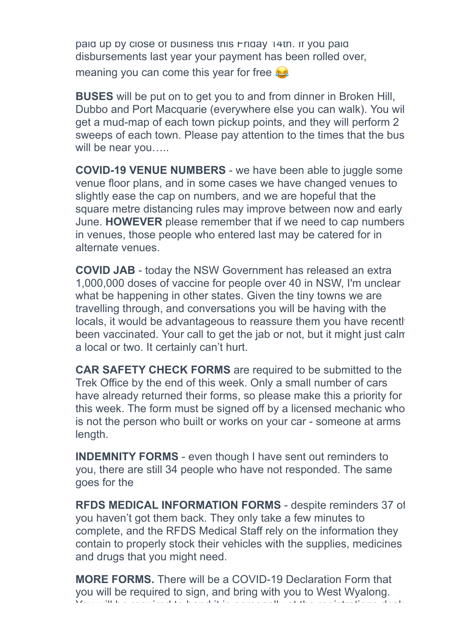paid up by close of business this Friday 14th. If you paid disbursements last year your payment has been rolled over, meaning you can come this year for free

**BUSES** will be put on to get you to and from dinner in Broken Hill, Dubbo and Port Macquarie (everywhere else you can walk). You will get a mud-map of each town pickup points, and they will perform 2 sweeps of each town. Please pay attention to the times that the bus will be near you.....

**COVID-19 VENUE NUMBERS** - we have been able to juggle some venue floor plans, and in some cases we have changed venues to slightly ease the cap on numbers, and we are hopeful that the square metre distancing rules may improve between now and early June. **HOWEVER** please remember that if we need to cap numbers in venues, those people who entered last may be catered for in alternate venues.

**COVID JAB** - today the NSW Government has released an extra 1,000,000 doses of vaccine for people over 40 in NSW, I'm unclear what be happening in other states. Given the tiny towns we are travelling through, and conversations you will be having with the locals, it would be advantageous to reassure them you have recently been vaccinated. Your call to get the jab or not, but it might just calm a local or two. It certainly can't hurt.

**CAR SAFETY CHECK FORMS** are required to be submitted to the Trek Office by the end of this week. Only a small number of cars have already returned their forms, so please make this a priority for this week. The form must be signed off by a licensed mechanic who is not the person who built or works on your car - someone at arms length.

**INDEMNITY FORMS** - even though I have sent out reminders to you, there are still 34 people who have not responded. The same goes for the

**RFDS MEDICAL INFORMATION FORMS** - despite reminders 37 of you haven't got them back. They only take a few minutes to complete, and the RFDS Medical Staff rely on the information they contain to properly stock their vehicles with the supplies, medicines and drugs that you might need.

**MORE FORMS.** There will be a COVID-19 Declaration Form that you will be required to sign, and bring with you to West Wyalong. You will be required to hand it in personally at the registrations desk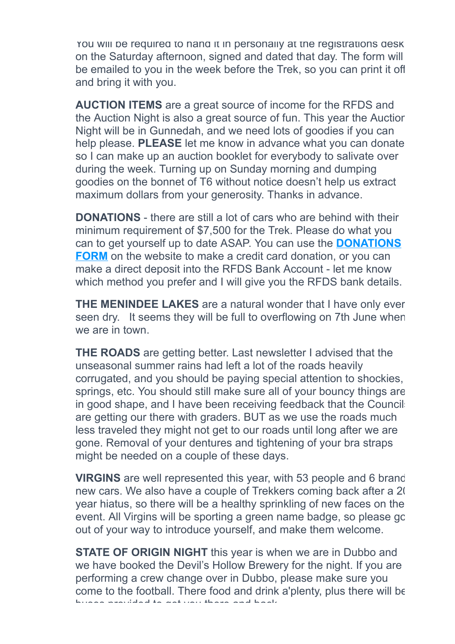You will be required to hand it in personally at the registrations desk on the Saturday afternoon, signed and dated that day. The form will be emailed to you in the week before the Trek, so you can print it off and bring it with you.

**AUCTION ITEMS** are a great source of income for the RFDS and the Auction Night is also a great source of fun. This year the Auction Night will be in Gunnedah, and we need lots of goodies if you can help please. **PLEASE** let me know in advance what you can donate so I can make up an auction booklet for everybody to salivate over during the week. Turning up on Sunday morning and dumping goodies on the bonnet of T6 without notice doesn't help us extract maximum dollars from your generosity. Thanks in advance.

**DONATIONS** - there are still a lot of cars who are behind with their minimum requirement of \$7,500 for the Trek. Please do what you can to get yourself up to date ASAP. You can use the **DONATIONS FORM** [on the website to make a credit card donation, or you can](https://4ljld.r.a.d.sendibm1.com/mk/cl/f/wy0POPMb-5v82RfPT9g26VpAipkuaN34RuLixoaTHE-oNu0e51xm1NA4xa2HjOm7_HPSB8dyuY3uwEf4-SYg0An2WidIdiQyEVbtFg0vuIk60kujj623Ty42K-lUAO6aQe7HZ0w6ajs2w6E6AQWla54CI9ZbPsbuc7nJvYd5oDm8s4CiNlyocI8xeDQ3bPCNyUvxWKIJ1VlWDPikAQvC_iuqnZSDlcG5mD947P2cJ533HeQq5vkDCRGkUQB0FtC3wYB78yaMfQbaqw7h_HQ) make a direct deposit into the RFDS Bank Account - let me know which method you prefer and I will give you the RFDS bank details.

**THE MENINDEE LAKES** are a natural wonder that I have only ever seen dry. It seems they will be full to overflowing on 7th June when we are in town

**THE ROADS** are getting better. Last newsletter I advised that the unseasonal summer rains had left a lot of the roads heavily corrugated, and you should be paying special attention to shockies, springs, etc. You should still make sure all of your bouncy things are in good shape, and I have been receiving feedback that the Council are getting our there with graders. BUT as we use the roads much less traveled they might not get to our roads until long after we are gone. Removal of your dentures and tightening of your bra straps might be needed on a couple of these days.

**VIRGINS** are well represented this year, with 53 people and 6 brand new cars. We also have a couple of Trekkers coming back after a 20 year hiatus, so there will be a healthy sprinkling of new faces on the event. All Virgins will be sporting a green name badge, so please go out of your way to introduce yourself, and make them welcome.

**STATE OF ORIGIN NIGHT** this year is when we are in Dubbo and we have booked the Devil's Hollow Brewery for the night. If you are performing a crew change over in Dubbo, please make sure you come to the football. There food and drink a'plenty, plus there will be buses provided to get you there and back.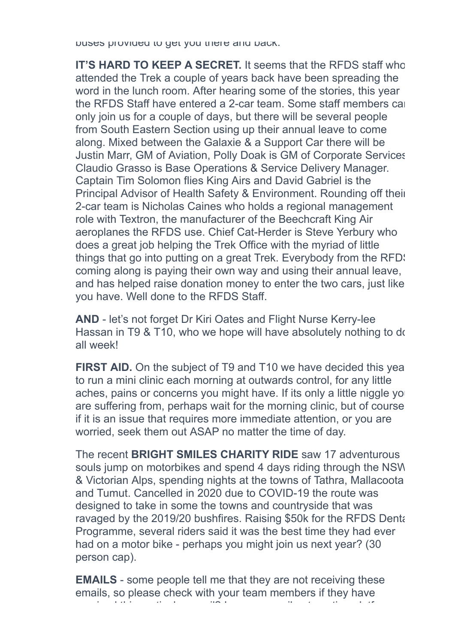buses provided to get you there and back.

**IT'S HARD TO KEEP A SECRET.** It seems that the RFDS staff who attended the Trek a couple of years back have been spreading the word in the lunch room. After hearing some of the stories, this year the RFDS Staff have entered a 2-car team. Some staff members can only join us for a couple of days, but there will be several people from South Eastern Section using up their annual leave to come along. Mixed between the Galaxie & a Support Car there will be Justin Marr, GM of Aviation, Polly Doak is GM of Corporate Services, Claudio Grasso is Base Operations & Service Delivery Manager. Captain Tim Solomon flies King Airs and David Gabriel is the Principal Advisor of Health Safety & Environment. Rounding off their 2-car team is Nicholas Caines who holds a regional management role with Textron, the manufacturer of the Beechcraft King Air aeroplanes the RFDS use. Chief Cat-Herder is Steve Yerbury who does a great job helping the Trek Office with the myriad of little things that go into putting on a great Trek. Everybody from the RFD: coming along is paying their own way and using their annual leave, and has helped raise donation money to enter the two cars, just like you have. Well done to the RFDS Staff.

**AND** - let's not forget Dr Kiri Oates and Flight Nurse Kerry-lee Hassan in T9 & T10, who we hope will have absolutely nothing to do all week!

**FIRST AID.** On the subject of T9 and T10 we have decided this year to run a mini clinic each morning at outwards control, for any little aches, pains or concerns you might have. If its only a little niggle yo are suffering from, perhaps wait for the morning clinic, but of course if it is an issue that requires more immediate attention, or you are worried, seek them out ASAP no matter the time of day.

The recent **BRIGHT SMILES CHARITY RIDE** saw 17 adventurous souls jump on motorbikes and spend 4 days riding through the NSW & Victorian Alps, spending nights at the towns of Tathra, Mallacoota and Tumut. Cancelled in 2020 due to COVID-19 the route was designed to take in some the towns and countryside that was ravaged by the 2019/20 bushfires. Raising \$50k for the RFDS Dental Programme, several riders said it was the best time they had ever had on a motor bike - perhaps you might join us next year? (30 person cap).

**EMAILS** - some people tell me that they are not receiving these emails, so please check with your team members if they have received this particular email? I use an email automation platform